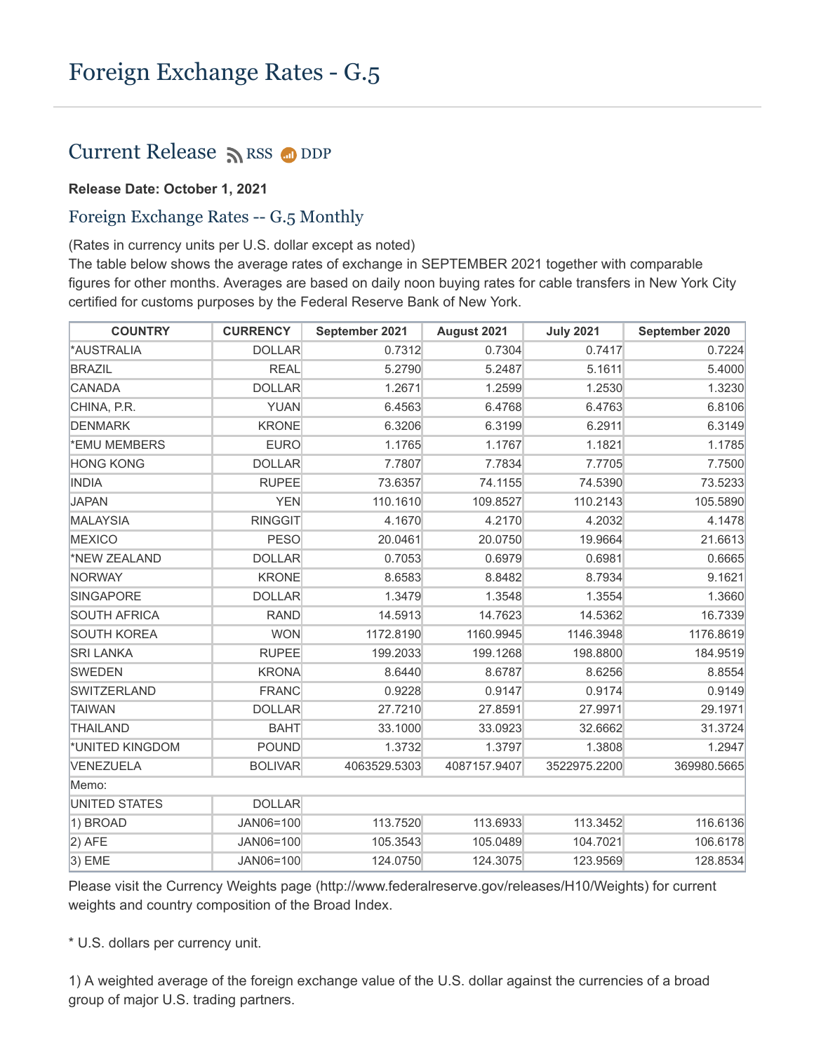## Current Release  $\sum$  [RSS](https://www.federalreserve.gov/feeds)  $\bigcirc$  [DDP](https://www.federalreserve.gov/datadownload/Choose.aspx?rel=H10)

## **Release Date: October 1, 2021**

## Foreign Exchange Rates -- G.5 Monthly

(Rates in currency units per U.S. dollar except as noted)

The table below shows the average rates of exchange in SEPTEMBER 2021 together with comparable figures for other months. Averages are based on daily noon buying rates for cable transfers in New York City certified for customs purposes by the Federal Reserve Bank of New York.

| <b>COUNTRY</b>      | <b>CURRENCY</b> | September 2021 | August 2021  | <b>July 2021</b> | September 2020 |
|---------------------|-----------------|----------------|--------------|------------------|----------------|
| *AUSTRALIA          | <b>DOLLAR</b>   | 0.7312         | 0.7304       | 0.7417           | 0.7224         |
| <b>BRAZIL</b>       | <b>REAL</b>     | 5.2790         | 5.2487       | 5.1611           | 5.4000         |
| CANADA              | <b>DOLLAR</b>   | 1.2671         | 1.2599       | 1.2530           | 1.3230         |
| CHINA, P.R.         | <b>YUAN</b>     | 6.4563         | 6.4768       | 6.4763           | 6.8106         |
| <b>DENMARK</b>      | <b>KRONE</b>    | 6.3206         | 6.3199       | 6.2911           | 6.3149         |
| *EMU MEMBERS        | <b>EURO</b>     | 1.1765         | 1.1767       | 1.1821           | 1.1785         |
| <b>HONG KONG</b>    | <b>DOLLAR</b>   | 7.7807         | 7.7834       | 7.7705           | 7.7500         |
| <b>INDIA</b>        | <b>RUPEE</b>    | 73.6357        | 74.1155      | 74.5390          | 73.5233        |
| <b>JAPAN</b>        | <b>YEN</b>      | 110.1610       | 109.8527     | 110.2143         | 105.5890       |
| MALAYSIA            | <b>RINGGIT</b>  | 4.1670         | 4.2170       | 4.2032           | 4.1478         |
| <b>MEXICO</b>       | <b>PESO</b>     | 20.0461        | 20.0750      | 19.9664          | 21.6613        |
| *NEW ZEALAND        | <b>DOLLAR</b>   | 0.7053         | 0.6979       | 0.6981           | 0.6665         |
| NORWAY              | <b>KRONE</b>    | 8.6583         | 8.8482       | 8.7934           | 9.1621         |
| SINGAPORE           | <b>DOLLAR</b>   | 1.3479         | 1.3548       | 1.3554           | 1.3660         |
| <b>SOUTH AFRICA</b> | <b>RAND</b>     | 14.5913        | 14.7623      | 14.5362          | 16.7339        |
| <b>SOUTH KOREA</b>  | <b>WON</b>      | 1172.8190      | 1160.9945    | 1146.3948        | 1176.8619      |
| <b>SRI LANKA</b>    | <b>RUPEE</b>    | 199.2033       | 199.1268     | 198.8800         | 184.9519       |
| SWEDEN              | <b>KRONA</b>    | 8.6440         | 8.6787       | 8.6256           | 8.8554         |
| <b>SWITZERLAND</b>  | <b>FRANC</b>    | 0.9228         | 0.9147       | 0.9174           | 0.9149         |
| TAIWAN              | <b>DOLLAR</b>   | 27.7210        | 27.8591      | 27.9971          | 29.1971        |
| <b>THAILAND</b>     | <b>BAHT</b>     | 33.1000        | 33.0923      | 32.6662          | 31.3724        |
| *UNITED KINGDOM     | <b>POUND</b>    | 1.3732         | 1.3797       | 1.3808           | 1.2947         |
| VENEZUELA           | <b>BOLIVAR</b>  | 4063529.5303   | 4087157.9407 | 3522975.2200     | 369980.5665    |
| Memo:               |                 |                |              |                  |                |
| UNITED STATES       | <b>DOLLAR</b>   |                |              |                  |                |
| 1) BROAD            | JAN06=100       | 113.7520       | 113.6933     | 113.3452         | 116.6136       |
| $ 2)$ AFE           | JAN06=100       | 105.3543       | 105.0489     | 104.7021         | 106.6178       |
| $ 3)$ EME           | JAN06=100       | 124.0750       | 124.3075     | 123.9569         | 128.8534       |

Please visit the Currency Weights page (http://www.federalreserve.gov/releases/H10/Weights) for current weights and country composition of the Broad Index.

\* U.S. dollars per currency unit.

1) A weighted average of the foreign exchange value of the U.S. dollar against the currencies of a broad group of major U.S. trading partners.